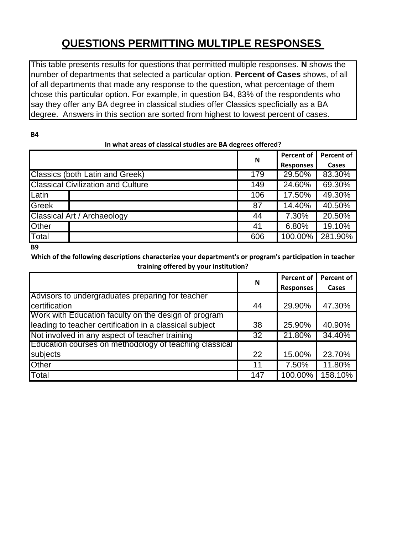## **QUESTIONS PERMITTING MULTIPLE RESPONSES**

This table presents results for questions that permitted multiple responses. **N** shows the number of departments that selected a particular option. **Percent of Cases** shows, of all of all departments that made any response to the question, what percentage of them chose this particular option. For example, in question B4, 83% of the respondents who say they offer any BA degree in classical studies offer Classics specficially as a BA degree. Answers in this section are sorted from highest to lowest percent of cases.

**B4**

## **In what areas of classical studies are BA degrees offered?**

|                                           |  | N   | <b>Percent of</b> | Percent of |
|-------------------------------------------|--|-----|-------------------|------------|
|                                           |  |     | <b>Responses</b>  | Cases      |
| <b>Classics (both Latin and Greek)</b>    |  | 179 | 29.50%            | 83.30%     |
| <b>Classical Civilization and Culture</b> |  | 149 | 24.60%            | 69.30%     |
| Latin                                     |  | 106 | 17.50%            | 49.30%     |
| Greek                                     |  | 87  | 14.40%            | 40.50%     |
| Classical Art / Archaeology               |  | 44  | 7.30%             | 20.50%     |
| Other                                     |  | 41  | 6.80%             | 19.10%     |
| Total                                     |  | 606 | 100.00%           | 281.90%    |

**B9**

**Which of the following descriptions characterize your department's or program's participation in teacher training offered by your institution?**

|                                                         | N   | Percent of       | <b>Percent of</b> |
|---------------------------------------------------------|-----|------------------|-------------------|
|                                                         |     | <b>Responses</b> | Cases             |
| Advisors to undergraduates preparing for teacher        |     |                  |                   |
| certification                                           | 44  | 29.90%           | 47.30%            |
| Work with Education faculty on the design of program    |     |                  |                   |
| leading to teacher certification in a classical subject | 38  | 25.90%           | 40.90%            |
| Not involved in any aspect of teacher training          | 32  | 21.80%           | 34.40%            |
| Education courses on methodology of teaching classical  |     |                  |                   |
| subjects                                                | 22  | 15.00%           | 23.70%            |
| Other                                                   | 11  | 7.50%            | 11.80%            |
| Total                                                   | 147 | 100.00%          | 158.10%           |